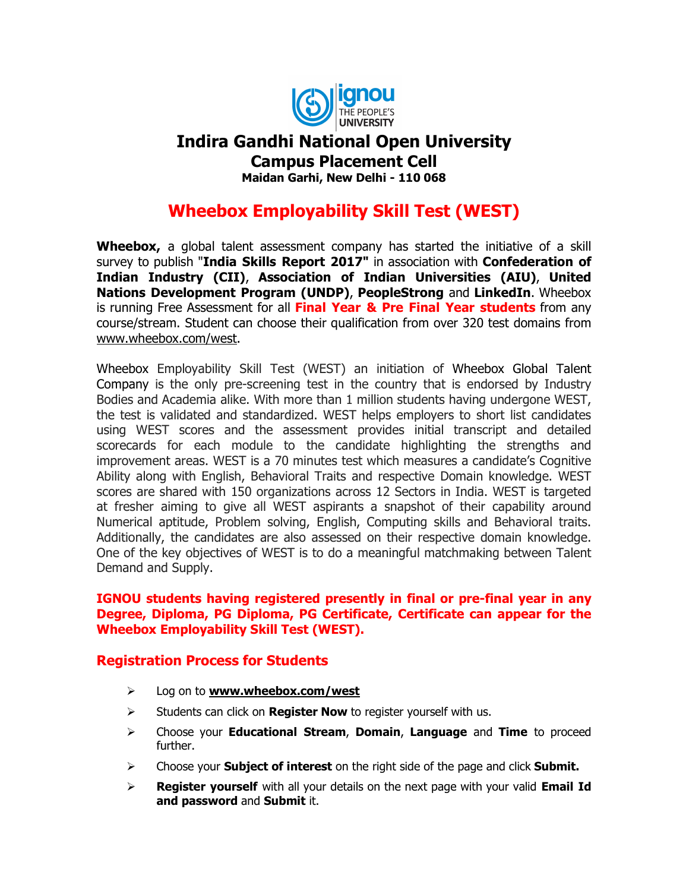

## Indira Gandhi National Open University Campus Placement Cell

Maidan Garhi, New Delhi - 110 068

# Wheebox Employability Skill Test (WEST)

Wheebox, a global talent assessment company has started the initiative of a skill survey to publish "India Skills Report 2017" in association with Confederation of Indian Industry (CII), Association of Indian Universities (AIU), United Nations Development Program (UNDP), PeopleStrong and LinkedIn. Wheebox is running Free Assessment for all **Final Year & Pre Final Year students** from any course/stream. Student can choose their qualification from over 320 test domains from www.wheebox.com/west.

Wheebox Employability Skill Test (WEST) an initiation of Wheebox Global Talent Company is the only pre-screening test in the country that is endorsed by Industry Bodies and Academia alike. With more than 1 million students having undergone WEST, the test is validated and standardized. WEST helps employers to short list candidates using WEST scores and the assessment provides initial transcript and detailed scorecards for each module to the candidate highlighting the strengths and improvement areas. WEST is a 70 minutes test which measures a candidate's Cognitive Ability along with English, Behavioral Traits and respective Domain knowledge. WEST scores are shared with 150 organizations across 12 Sectors in India. WEST is targeted at fresher aiming to give all WEST aspirants a snapshot of their capability around Numerical aptitude, Problem solving, English, Computing skills and Behavioral traits. Additionally, the candidates are also assessed on their respective domain knowledge. One of the key objectives of WEST is to do a meaningful matchmaking between Talent Demand and Supply.

#### IGNOU students having registered presently in final or pre-final year in any Degree, Diploma, PG Diploma, PG Certificate, Certificate can appear for the Wheebox Employability Skill Test (WEST).

#### Registration Process for Students

- $\triangleright$  Log on to www.wheebox.com/west
- $\triangleright$  Students can click on **Register Now** to register yourself with us.
- $\triangleright$  Choose your **Educational Stream, Domain, Language** and Time to proceed further.
- $\triangleright$  Choose your **Subject of interest** on the right side of the page and click **Submit.**
- $\triangleright$  Register yourself with all your details on the next page with your valid Email Id and password and Submit it.